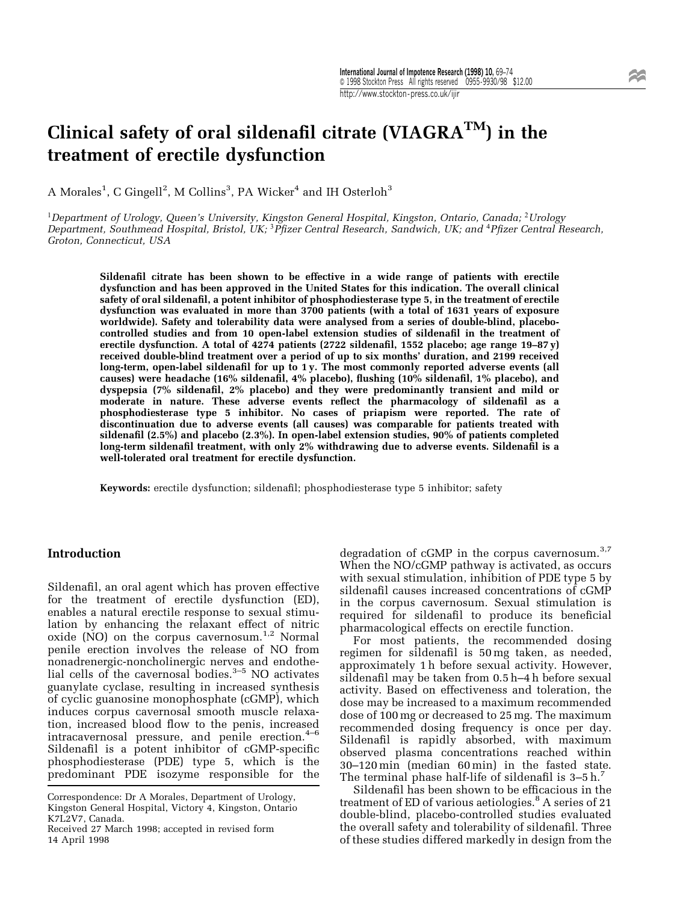# Clinical safety of oral sildenafil citrate (VIAGRA<sup>TM</sup>) in the treatment of erectile dysfunction

A Morales $^1$ , C Gingell $^2$ , M Collins $^3$ , PA Wicker $^4$  and IH Osterloh $^3$ 

<sup>1</sup>Department of Urology, Queen's University, Kingston General Hospital, Kingston, Ontario, Canada; <sup>2</sup>Urology Department, Southmead Hospital, Bristol, UK; <sup>3</sup>Pfizer Central Research, Sandwich, UK; and <sup>4</sup>Pfizer Central Research, Groton, Connecticut, USA

Sildenafil citrate has been shown to be effective in a wide range of patients with erectile dysfunction and has been approved in the United States for this indication. The overall clinical safety of oral sildenafil, a potent inhibitor of phosphodiesterase type 5, in the treatment of erectile dysfunction was evaluated in more than 3700 patients (with a total of 1631 years of exposure worldwide). Safety and tolerability data were analysed from a series of double-blind, placebocontrolled studies and from 10 open-label extension studies of sildenafil in the treatment of erectile dysfunction. A total of 4274 patients (2722 sildenafil, 1552 placebo; age range 19-87 $y$ ) received double-blind treatment over a period of up to six months' duration, and 2199 received  $long-term$ , open-label sildenafil for up to 1 y. The most commonly reported adverse events (all causes) were headache (16% sildenafil, 4% placebo), flushing (10% sildenafil, 1% placebo), and dyspepsia (7% sildenafil, 2% placebo) and they were predominantly transient and mild or moderate in nature. These adverse events reflect the pharmacology of sildenafil as a phosphodiesterase type 5 inhibitor. No cases of priapism were reported. The rate of discontinuation due to adverse events (all causes) was comparable for patients treated with sildenafil (2.5%) and placebo (2.3%). In open-label extension studies, 90% of patients completed long-term sildenafil treatment, with only 2% withdrawing due to adverse events. Sildenafil is a well-tolerated oral treatment for erectile dysfunction.

Keywords: erectile dysfunction; sildenafil; phosphodiesterase type 5 inhibitor; safety

### Introduction

Sildenafil, an oral agent which has proven effective for the treatment of erectile dysfunction (ED), enables a natural erectile response to sexual stimulation by enhancing the relaxant effect of nitric oxide (NO) on the corpus cavernosum.<sup>1,2</sup> Normal penile erection involves the release of NO from nonadrenergic-noncholinergic nerves and endothelial cells of the cavernosal bodies. $3-5$  NO activates guanylate cyclase, resulting in increased synthesis of cyclic guanosine monophosphate (cGMP), which induces corpus cavernosal smooth muscle relaxation, increased blood flow to the penis, increased intracavernosal pressure, and penile erection. $4-6$ Sildenafil is a potent inhibitor of cGMP-specific phosphodiesterase (PDE) type 5, which is the predominant PDE isozyme responsible for the

degradation of cGMP in the corpus cavernosum.<sup>3,7</sup> When the NO/cGMP pathway is activated, as occurs with sexual stimulation, inhibition of PDE type 5 by sildenafil causes increased concentrations of cGMP in the corpus cavernosum. Sexual stimulation is required for sildenafil to produce its beneficial pharmacological effects on erectile function.

For most patients, the recommended dosing regimen for sildenafil is 50 mg taken, as needed, approximately 1 h before sexual activity. However, sildenafil may be taken from  $0.5$  h $-4$  h before sexual activity. Based on effectiveness and toleration, the dose may be increased to a maximum recommended dose of 100 mg or decreased to 25 mg. The maximum recommended dosing frequency is once per day. Sildenafil is rapidly absorbed, with maximum observed plasma concentrations reached within  $30-120$  min (median  $60$  min) in the fasted state. The terminal phase half-life of sildenafil is  $3-5 h<sup>7</sup>$ 

Sildenafil has been shown to be efficacious in the treatment of ED of various aetiologies.<sup>8</sup> A series of 21 double-blind, placebo-controlled studies evaluated the overall safety and tolerability of sildenafil. Three of these studies differed markedly in design from the

Correspondence: Dr A Morales, Department of Urology, Kingston General Hospital, Victory 4, Kingston, Ontario K7L2V7, Canada.

Received 27 March 1998; accepted in revised form 14 April 1998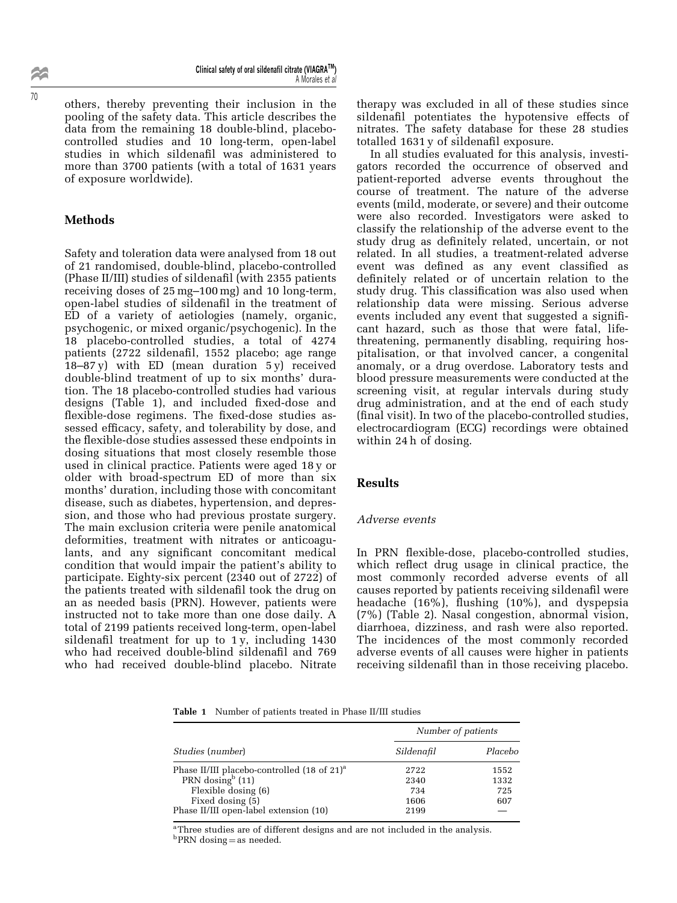others, thereby preventing their inclusion in the pooling of the safety data. This article describes the data from the remaining 18 double-blind, placebocontrolled studies and 10 long-term, open-label studies in which sildenafil was administered to more than 3700 patients (with a total of 1631 years of exposure worldwide).

### **Methods**

Safety and toleration data were analysed from 18 out of 21 randomised, double-blind, placebo-controlled (Phase II/III) studies of sildenafil (with 2355 patients) receiving doses of  $25 \,\text{mg}-100 \,\text{mg}$  and 10 long-term, open-label studies of sildenafil in the treatment of ED of a variety of aetiologies (namely, organic, psychogenic, or mixed organic/psychogenic). In the 18 placebo-controlled studies, a total of 4274 patients (2722 sildenafil, 1552 placebo; age range  $18-87$  y) with ED (mean duration  $5y$ ) received double-blind treatment of up to six months' duration. The 18 placebo-controlled studies had various designs (Table 1), and included fixed-dose and flexible-dose regimens. The fixed-dose studies assessed efficacy, safety, and tolerability by dose, and the flexible-dose studies assessed these endpoints in dosing situations that most closely resemble those used in clinical practice. Patients were aged 18 y or older with broad-spectrum ED of more than six months' duration, including those with concomitant disease, such as diabetes, hypertension, and depression, and those who had previous prostate surgery. The main exclusion criteria were penile anatomical deformities, treatment with nitrates or anticoagulants, and any significant concomitant medical condition that would impair the patient's ability to participate. Eighty-six percent (2340 out of 2722) of the patients treated with sildenafil took the drug on an as needed basis (PRN). However, patients were instructed not to take more than one dose daily. A total of 2199 patients received long-term, open-label sildenafil treatment for up to  $1y$ , including  $1430$ who had received double-blind sildenafil and 769 who had received double-blind placebo. Nitrate

therapy was excluded in all of these studies since sildenafil potentiates the hypotensive effects of nitrates. The safety database for these 28 studies totalled  $1631y$  of sildenafil exposure.

In all studies evaluated for this analysis, investigators recorded the occurrence of observed and patient-reported adverse events throughout the course of treatment. The nature of the adverse events (mild, moderate, or severe) and their outcome were also recorded. Investigators were asked to classify the relationship of the adverse event to the study drug as definitely related, uncertain, or not related. In all studies, a treatment-related adverse event was defined as any event classified as definitely related or of uncertain relation to the study drug. This classification was also used when relationship data were missing. Serious adverse events included any event that suggested a significant hazard, such as those that were fatal, lifethreatening, permanently disabling, requiring hospitalisation, or that involved cancer, a congenital anomaly, or a drug overdose. Laboratory tests and blood pressure measurements were conducted at the screening visit, at regular intervals during study drug administration, and at the end of each study (final visit). In two of the placebo-controlled studies, electrocardiogram (ECG) recordings were obtained within 24 h of dosing.

### Results

#### Adverse events

In PRN flexible-dose, placebo-controlled studies, which reflect drug usage in clinical practice, the most commonly recorded adverse events of all causes reported by patients receiving sildenafil were headache  $(16\%)$ , flushing  $(10\%)$ , and dyspepsia (7%) (Table 2). Nasal congestion, abnormal vision, diarrhoea, dizziness, and rash were also reported. The incidences of the most commonly recorded adverse events of all causes were higher in patients receiving sildenafil than in those receiving placebo.

Table 1 Number of patients treated in Phase II/III studies

| Studies (number)                                        | Number of patients |         |
|---------------------------------------------------------|--------------------|---------|
|                                                         | Sildenafil         | Placebo |
| Phase II/III placebo-controlled (18 of 21) <sup>a</sup> | 2722               | 1552    |
| PRN dosing $b(11)$                                      | 2340               | 1332    |
| Flexible dosing (6)                                     | 734                | 725     |
| Fixed dosing (5)                                        | 1606               | 607     |
| Phase II/III open-label extension (10)                  | 2199               |         |

<sup>a</sup>Three studies are of different designs and are not included in the analysis.

 $<sup>b</sup> PRN$  dosing = as needed.</sup>

22 70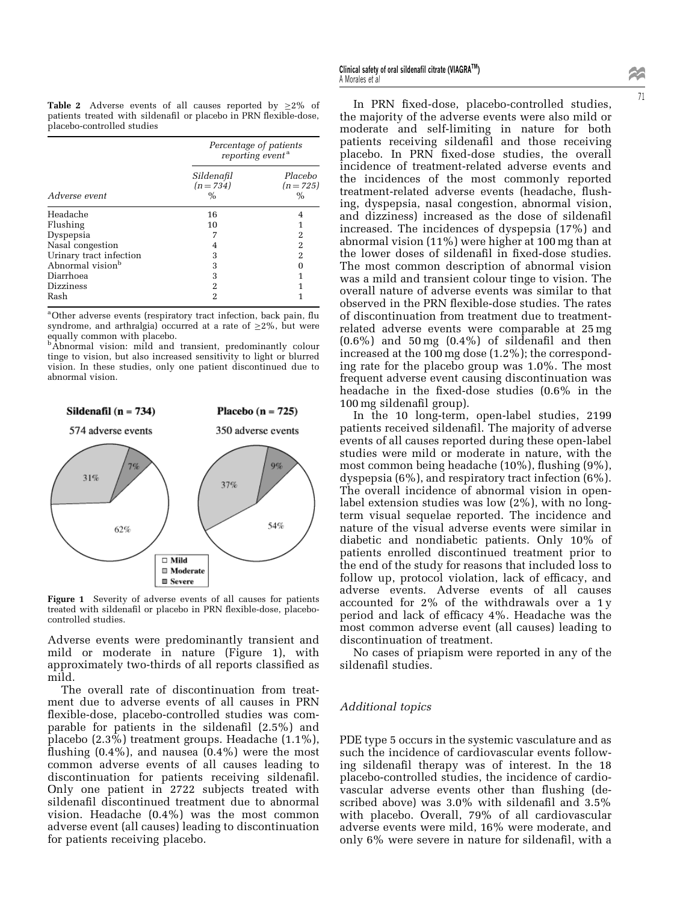**Table 2** Adverse events of all causes reported by  $>2\%$  of patients treated with sildenafil or placebo in PRN flexible-dose, placebo-controlled studies

| Adverse event                | Percentage of patients<br>reporting event <sup>a</sup> |                              |  |
|------------------------------|--------------------------------------------------------|------------------------------|--|
|                              | Sildenafil<br>$(n=734)$<br>$\%$                        | Placebo<br>$(n=725)$<br>$\%$ |  |
| Headache                     | 16                                                     |                              |  |
| Flushing                     | 10                                                     |                              |  |
| Dyspepsia                    | 7                                                      | 2                            |  |
| Nasal congestion             | 4                                                      | 2                            |  |
| Urinary tract infection      | 3                                                      | 2                            |  |
| Abnormal vision <sup>b</sup> | 3                                                      |                              |  |
| Diarrhoea                    | 3                                                      |                              |  |
| <b>Dizziness</b>             | 2                                                      |                              |  |
| Rash                         | 2                                                      |                              |  |

<sup>a</sup>Other adverse events (respiratory tract infection, back pain, flu syndrome, and arthralgia) occurred at a rate of  $\geq$ 2%, but were

equally common with placebo. bAbnormal vision: mild and transient, predominantly colour tinge to vision, but also increased sensitivity to light or blurred vision. In these studies, only one patient discontinued due to abnormal vision.



Figure 1 Severity of adverse events of all causes for patients treated with sildenafil or placebo in PRN flexible-dose, placebocontrolled studies.

Adverse events were predominantly transient and mild or moderate in nature (Figure 1), with approximately two-thirds of all reports classified as mild.

The overall rate of discontinuation from treatment due to adverse events of all causes in PRN flexible-dose, placebo-controlled studies was comparable for patients in the sildenafil  $(2.5\%)$  and placebo (2.3%) treatment groups. Headache (1.1%), flushing  $(0.4\%)$ , and nausea  $(0.4\%)$  were the most common adverse events of all causes leading to discontinuation for patients receiving sildenafil. Only one patient in 2722 subjects treated with sildenafil discontinued treatment due to abnormal vision. Headache (0.4%) was the most common adverse event (all causes) leading to discontinuation for patients receiving placebo.

In PRN fixed-dose, placebo-controlled studies, the majority of the adverse events were also mild or moderate and self-limiting in nature for both patients receiving sildenafil and those receiving placebo. In PRN fixed-dose studies, the overall incidence of treatment-related adverse events and the incidences of the most commonly reported treatment-related adverse events (headache, flushing, dyspepsia, nasal congestion, abnormal vision, and dizziness) increased as the dose of sildenafil increased. The incidences of dyspepsia (17%) and abnormal vision (11%) were higher at 100 mg than at the lower doses of sildenafil in fixed-dose studies. The most common description of abnormal vision was a mild and transient colour tinge to vision. The overall nature of adverse events was similar to that observed in the PRN flexible-dose studies. The rates of discontinuation from treatment due to treatmentrelated adverse events were comparable at 25 mg  $(0.6\%)$  and  $50 \,\text{mg}$   $(0.4\%)$  of sildenafil and then increased at the  $100 \text{ mg}$  dose (1.2%); the corresponding rate for the placebo group was 1.0%. The most frequent adverse event causing discontinuation was headache in the fixed-dose studies  $(0.6\%$  in the 100 mg sildenafil group).

In the 10 long-term, open-label studies, 2199 patients received sildenafil. The majority of adverse events of all causes reported during these open-label studies were mild or moderate in nature, with the most common being headache  $(10\%)$ , flushing  $(9\%)$ , dyspepsia (6%), and respiratory tract infection (6%). The overall incidence of abnormal vision in openlabel extension studies was low (2%), with no longterm visual sequelae reported. The incidence and nature of the visual adverse events were similar in diabetic and nondiabetic patients. Only 10% of patients enrolled discontinued treatment prior to the end of the study for reasons that included loss to follow up, protocol violation, lack of efficacy, and adverse events. Adverse events of all causes accounted for 2% of the withdrawals over a 1 y period and lack of efficacy  $4\%$ . Headache was the most common adverse event (all causes) leading to discontinuation of treatment.

No cases of priapism were reported in any of the sildenafil studies.

#### Additional topics

PDE type 5 occurs in the systemic vasculature and as such the incidence of cardiovascular events following sildenafil therapy was of interest. In the 18 placebo-controlled studies, the incidence of cardiovascular adverse events other than flushing (described above) was  $3.0\%$  with sildenafil and  $3.5\%$ with placebo. Overall, 79% of all cardiovascular adverse events were mild, 16% were moderate, and only 6% were severe in nature for sildenafil, with a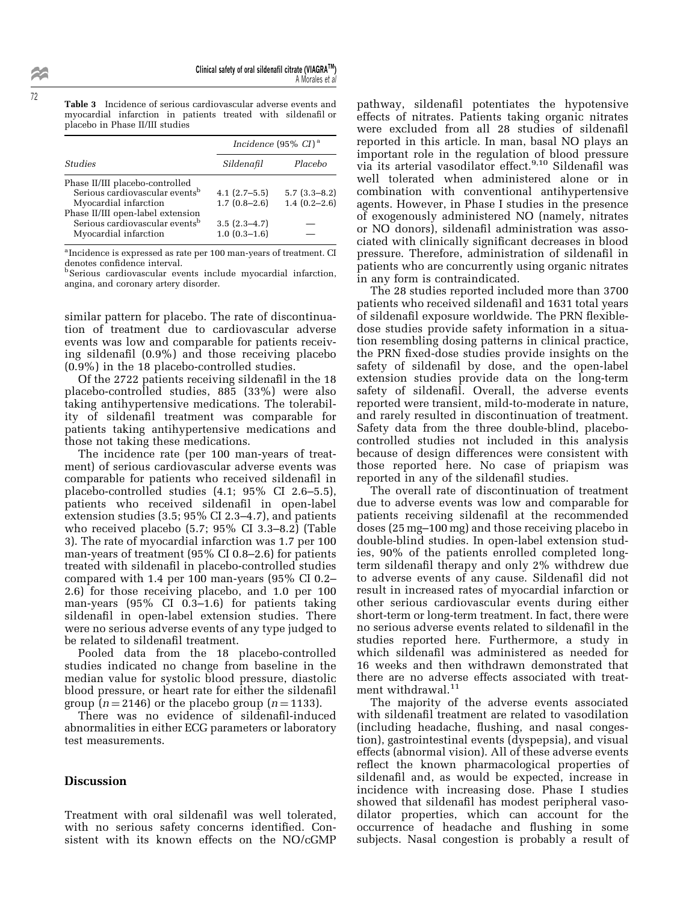Table 3 Incidence of serious cardiovascular adverse events and myocardial infarction in patients treated with sildenafil or placebo in Phase II/III studies

| <b>Studies</b>                                                                                           | Incidence $(95\% \ CI)^a$        |                                    |
|----------------------------------------------------------------------------------------------------------|----------------------------------|------------------------------------|
|                                                                                                          | Sildenafil                       | Placebo                            |
| Phase II/III placebo-controlled<br>Serious cardiovascular events <sup>b</sup><br>Myocardial infarction   | $4.1(2.7-5.5)$<br>$1.7(0.8-2.6)$ | $5.7(3.3-8.2)$<br>$1.4(0.2 - 2.6)$ |
| Phase II/III open-label extension<br>Serious cardiovascular events <sup>b</sup><br>Myocardial infarction | $3.5(2.3-4.7)$<br>$1.0(0.3-1.6)$ |                                    |

<sup>a</sup> Incidence is expressed as rate per 100 man-years of treatment. CI denotes confidence interval.

bSerious cardiovascular events include myocardial infarction, angina, and coronary artery disorder.

similar pattern for placebo. The rate of discontinuation of treatment due to cardiovascular adverse events was low and comparable for patients receiving sildenafil  $(0.9\%)$  and those receiving placebo (0.9%) in the 18 placebo-controlled studies.

Of the 2722 patients receiving sildenafil in the 18 placebo-controlled studies, 885 (33%) were also taking antihypertensive medications. The tolerability of sildenafil treatment was comparable for patients taking antihypertensive medications and those not taking these medications.

The incidence rate (per 100 man-years of treatment) of serious cardiovascular adverse events was comparable for patients who received sildenafil in placebo-controlled studies  $(4.1; 95\% \text{ CI } 2.6-5.5)$ , patients who received sildenafil in open-label extension studies  $(3.5; 95\% \text{ CI } 2.3-4.7)$ , and patients who received placebo  $(5.7; 95\% \text{ CI } 3.3-8.2)$  (Table 3). The rate of myocardial infarction was 1.7 per 100 man-years of treatment  $(95\% \text{ CI } 0.8-2.6)$  for patients treated with sildenafil in placebo-controlled studies compared with 1.4 per 100 man-years  $(95\% \text{ CI } 0.2-$ 2.6) for those receiving placebo, and 1.0 per 100 man-years  $(95\% \text{ CI } 0.3-1.6)$  for patients taking sildenafil in open-label extension studies. There were no serious adverse events of any type judged to be related to sildenafil treatment.

Pooled data from the 18 placebo-controlled studies indicated no change from baseline in the median value for systolic blood pressure, diastolic blood pressure, or heart rate for either the sildenafil group  $(n = 2146)$  or the placebo group  $(n = 1133)$ .

There was no evidence of sildenafil-induced abnormalities in either ECG parameters or laboratory test measurements.

#### **Discussion**

Treatment with oral sildenafil was well tolerated, with no serious safety concerns identified. Consistent with its known effects on the NO/cGMP pathway, sildenafil potentiates the hypotensive effects of nitrates. Patients taking organic nitrates were excluded from all 28 studies of sildenafil reported in this article. In man, basal NO plays an important role in the regulation of blood pressure via its arterial vasodilator effect. $9,10$  Sildenafil was well tolerated when administered alone or in combination with conventional antihypertensive agents. However, in Phase I studies in the presence of exogenously administered NO (namely, nitrates or NO donors), sildenafil administration was associated with clinically significant decreases in blood pressure. Therefore, administration of sildenafil in patients who are concurrently using organic nitrates in any form is contraindicated.

The 28 studies reported included more than 3700 patients who received sildenafil and 1631 total years of sildenafil exposure worldwide. The PRN flexibledose studies provide safety information in a situation resembling dosing patterns in clinical practice, the PRN fixed-dose studies provide insights on the safety of sildenafil by dose, and the open-label extension studies provide data on the long-term safety of sildenafil. Overall, the adverse events reported were transient, mild-to-moderate in nature, and rarely resulted in discontinuation of treatment. Safety data from the three double-blind, placebocontrolled studies not included in this analysis because of design differences were consistent with those reported here. No case of priapism was reported in any of the sildenafil studies.

The overall rate of discontinuation of treatment due to adverse events was low and comparable for patients receiving sildenafil at the recommended doses (25 mg–100 mg) and those receiving placebo in double-blind studies. In open-label extension studies, 90% of the patients enrolled completed longterm sildenafil therapy and only 2% withdrew due to adverse events of any cause. Sildenafil did not result in increased rates of myocardial infarction or other serious cardiovascular events during either short-term or long-term treatment. In fact, there were no serious adverse events related to sildenafil in the studies reported here. Furthermore, a study in which sildenafil was administered as needed for 16 weeks and then withdrawn demonstrated that there are no adverse effects associated with treatment withdrawal.<sup>11</sup>

The majority of the adverse events associated with sildenafil treatment are related to vasodilation (including headache, flushing, and nasal congestion), gastrointestinal events (dyspepsia), and visual effects (abnormal vision). All of these adverse events reflect the known pharmacological properties of sildenafil and, as would be expected, increase in incidence with increasing dose. Phase I studies showed that sildenafil has modest peripheral vasodilator properties, which can account for the occurrence of headache and flushing in some subjects. Nasal congestion is probably a result of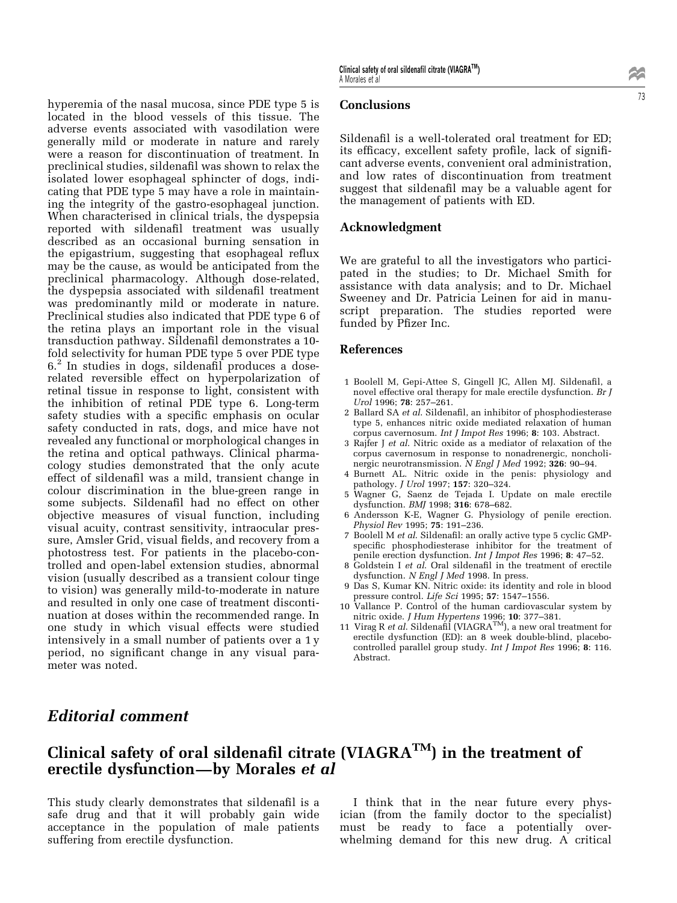hyperemia of the nasal mucosa, since PDE type 5 is located in the blood vessels of this tissue. The adverse events associated with vasodilation were generally mild or moderate in nature and rarely were a reason for discontinuation of treatment. In preclinical studies, sildenafil was shown to relax the isolated lower esophageal sphincter of dogs, indicating that PDE type 5 may have a role in maintaining the integrity of the gastro-esophageal junction. When characterised in clinical trials, the dyspepsia reported with sildenafil treatment was usually described as an occasional burning sensation in the epigastrium, suggesting that esophageal reflux may be the cause, as would be anticipated from the preclinical pharmacology. Although dose-related, the dyspepsia associated with sildenafil treatment was predominantly mild or moderate in nature. Preclinical studies also indicated that PDE type 6 of the retina plays an important role in the visual transduction pathway. Sildenafil demonstrates a 10fold selectivity for human PDE type 5 over PDE type  $6<sup>2</sup>$  In studies in dogs, sildenafil produces a doserelated reversible effect on hyperpolarization of retinal tissue in response to light, consistent with the inhibition of retinal PDE type 6. Long-term safety studies with a specific emphasis on ocular safety conducted in rats, dogs, and mice have not revealed any functional or morphological changes in the retina and optical pathways. Clinical pharmacology studies demonstrated that the only acute effect of sildenafil was a mild, transient change in colour discrimination in the blue-green range in some subjects. Sildenafil had no effect on other objective measures of visual function, including visual acuity, contrast sensitivity, intraocular pressure, Amsler Grid, visual fields, and recovery from a photostress test. For patients in the placebo-controlled and open-label extension studies, abnormal vision (usually described as a transient colour tinge to vision) was generally mild-to-moderate in nature and resulted in only one case of treatment discontinuation at doses within the recommended range. In one study in which visual effects were studied intensively in a small number of patients over a 1 y period, no significant change in any visual parameter was noted.

Sildenafil is a well-tolerated oral treatment for ED; its efficacy, excellent safety profile, lack of significant adverse events, convenient oral administration, and low rates of discontinuation from treatment suggest that sildenafil may be a valuable agent for the management of patients with ED.

### Acknowledgment

Conclusions

We are grateful to all the investigators who participated in the studies; to Dr. Michael Smith for assistance with data analysis; and to Dr. Michael Sweeney and Dr. Patricia Leinen for aid in manuscript preparation. The studies reported were funded by Pfizer Inc.

#### References

- 1 Boolell M, Gepi-Attee S, Gingell JC, Allen MJ. Sildenafil, a novel effective oral therapy for male erectile dysfunction. Br J Urol 1996; 78: 257-261.
- 2 Ballard SA et al. Sildenafil, an inhibitor of phosphodiesterase type 5, enhances nitric oxide mediated relaxation of human corpus cavernosum. Int J Impot Res 1996; 8: 103. Abstract.
- 3 Rajfer J et al. Nitric oxide as a mediator of relaxation of the corpus cavernosum in response to nonadrenergic, noncholinergic neurotransmission. *N Engl J Med* 1992; **326**: 90–94.
- 4 Burnett AL. Nitric oxide in the penis: physiology and pathology. *J Urol* 1997; 157: 320-324.
- 5 Wagner G, Saenz de Tejada I. Update on male erectile dysfunction. BMJ 1998; 316: 678-682.
- 6 Andersson K-E, Wagner G. Physiology of penile erection. Physiol Rev 1995; 75: 191-236.
- 7 Boolell M et al. Sildenafil: an orally active type 5 cyclic GMPspecific phosphodiesterase inhibitor for the treatment of penile erection dysfunction. Int J Impot Res 1996; 8: 47-52.
- 8 Goldstein I et al. Oral sildenafil in the treatment of erectile dysfunction. N Engl J Med 1998. In press.
- 9 Das S, Kumar KN. Nitric oxide: its identity and role in blood pressure control. Life Sci 1995; 57: 1547-1556.
- 10 Vallance P. Control of the human cardiovascular system by nitric oxide.  $J$  Hum Hypertens 1996; 10: 377-381.
- 11 Virag R et al. Sildena $\overline{H}$ l (VIAGRA<sup>TM</sup>), a new oral treatment for erectile dysfunction (ED): an 8 week double-blind, placebocontrolled parallel group study. Int J Impot Res 1996; 8: 116. Abstract.

# Editorial comment

# Clinical safety of oral sildenafil citrate (VIAGRA<sup>TM</sup>) in the treatment of erectile dysfunction-by Morales et al

This study clearly demonstrates that sildenafil is a safe drug and that it will probably gain wide acceptance in the population of male patients suffering from erectile dysfunction.

I think that in the near future every physician (from the family doctor to the specialist) must be ready to face a potentially overwhelming demand for this new drug. A critical